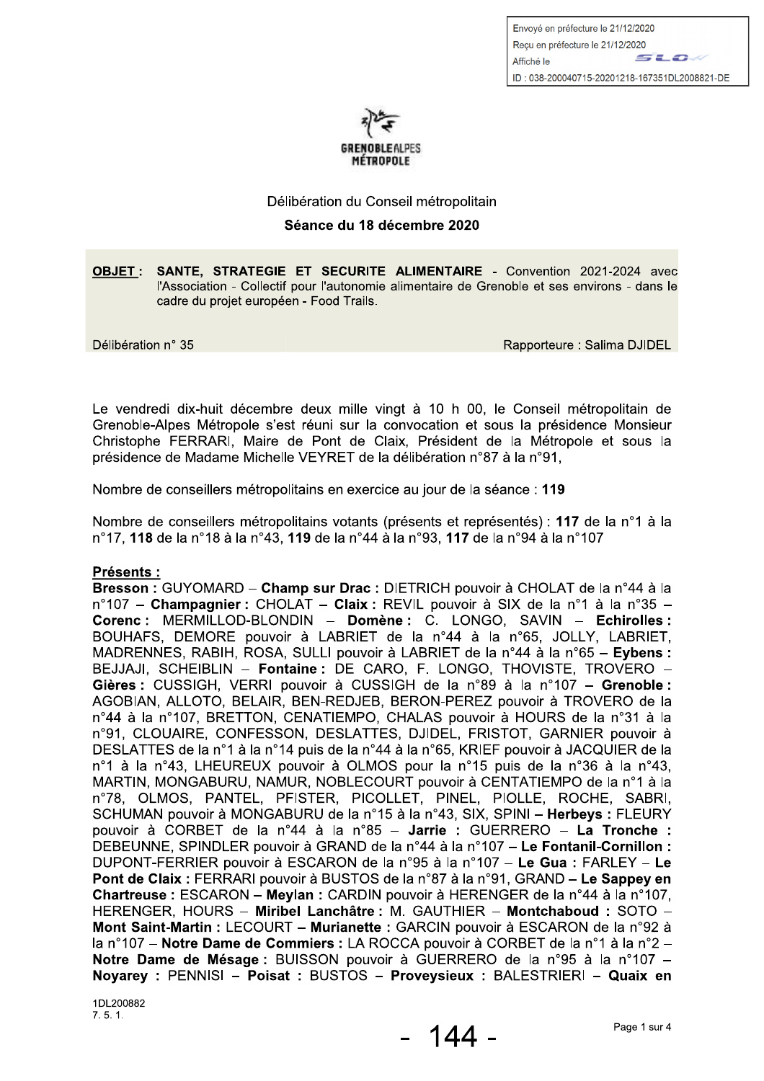Envoyé en préfecture le 21/12/2020 Recu en préfecture le 21/12/2020 sto. Affiché le ID: 038-200040715-20201218-167351DL2008821-DE



#### Délibération du Conseil métropolitain

#### Séance du 18 décembre 2020

OBJET : SANTE, STRATEGIE ET SECURITE ALIMENTAIRE - Convention 2021-2024 avec l'Association - Collectif pour l'autonomie alimentaire de Grenoble et ses environs - dans le cadre du projet européen - Food Trails.

Délibération n° 35

Rapporteure: Salima DJIDEL

Le vendredi dix-huit décembre deux mille vingt à 10 h 00, le Conseil métropolitain de Grenoble-Alpes Métropole s'est réuni sur la convocation et sous la présidence Monsieur Christophe FERRARI, Maire de Pont de Claix, Président de la Métropole et sous la présidence de Madame Michelle VEYRET de la délibération n°87 à la n°91,

Nombre de conseillers métropolitains en exercice au jour de la séance : 119

Nombre de conseillers métropolitains votants (présents et représentés) : 117 de la n°1 à la n°17, 118 de la n°18 à la n°43, 119 de la n°44 à la n°93, 117 de la n°94 à la n°107

### **Présents:**

Bresson : GUYOMARD - Champ sur Drac : DIETRICH pouvoir à CHOLAT de la n°44 à la n°107 - Champagnier : CHOLAT - Claix : REVIL pouvoir à SIX de la n°1 à la n°35 -Corenc : MERMILLOD-BLONDIN - Domène : C. LONGO, SAVIN - Echirolles : BOUHAFS, DEMORE pouvoir à LABRIET de la n°44 à la n°65, JOLLY, LABRIET, MADRENNES, RABIH, ROSA, SULLI pouvoir à LABRIET de la n°44 à la n°65 – Eybens : BEJJAJI, SCHEIBLIN - Fontaine: DE CARO, F. LONGO, THOVISTE, TROVERO -Gières : CUSSIGH, VERRI pouvoir à CUSSIGH de la n°89 à la n°107 - Grenoble : AGOBIAN, ALLOTO, BELAIR, BEN-REDJEB, BERON-PEREZ pouvoir à TROVERO de la n°44 à la n°107, BRETTON, CENATIEMPO, CHALAS pouvoir à HOURS de la n°31 à la n°91, CLOUAIRE, CONFESSON, DESLATTES, DJIDEL, FRISTOT, GARNIER pouvoir à DESLATTES de la n°1 à la n°14 puis de la n°44 à la n°65, KRIEF pouvoir à JACQUIER de la n°1 à la n°43, LHEUREUX pouvoir à OLMOS pour la n°15 puis de la n°36 à la n°43, MARTIN, MONGABURU, NAMUR, NOBLECOURT pouvoir à CENTATIEMPO de la n°1 à la n°78, OLMOS, PANTEL, PFISTER, PICOLLET, PINEL, PIOLLE, ROCHE, SABRI, SCHUMAN pouvoir à MONGABURU de la n°15 à la n°43, SIX, SPINI - Herbeys : FLEURY pouvoir à CORBET de la n°44 à la n°85 - Jarrie : GUERRERO - La Tronche : DEBEUNNE, SPINDLER pouvoir à GRAND de la n°44 à la n°107 – Le Fontanil-Cornillon : DUPONT-FERRIER pouvoir à ESCARON de la n°95 à la n°107 - Le Gua : FARLEY - Le Pont de Claix : FERRARI pouvoir à BUSTOS de la n°87 à la n°91. GRAND – Le Sappey en Chartreuse : ESCARON - Meylan : CARDIN pouvoir à HERENGER de la n°44 à la n°107, HERENGER, HOURS - Miribel Lanchâtre : M. GAUTHIER - Montchaboud : SOTO -Mont Saint-Martin : LECOURT - Murianette : GARCIN pouvoir à ESCARON de la n°92 à la n°107 – Notre Dame de Commiers : LA ROCCA pouvoir à CORBET de la n°1 à la n°2 – Notre Dame de Mésage : BUISSON pouvoir à GUERRERO de la n°95 à la n°107 -Noyarey: PENNISI - Poisat: BUSTOS - Proveysieux: BALESTRIERI - Quaix en

1DL200882  $7.5.1.$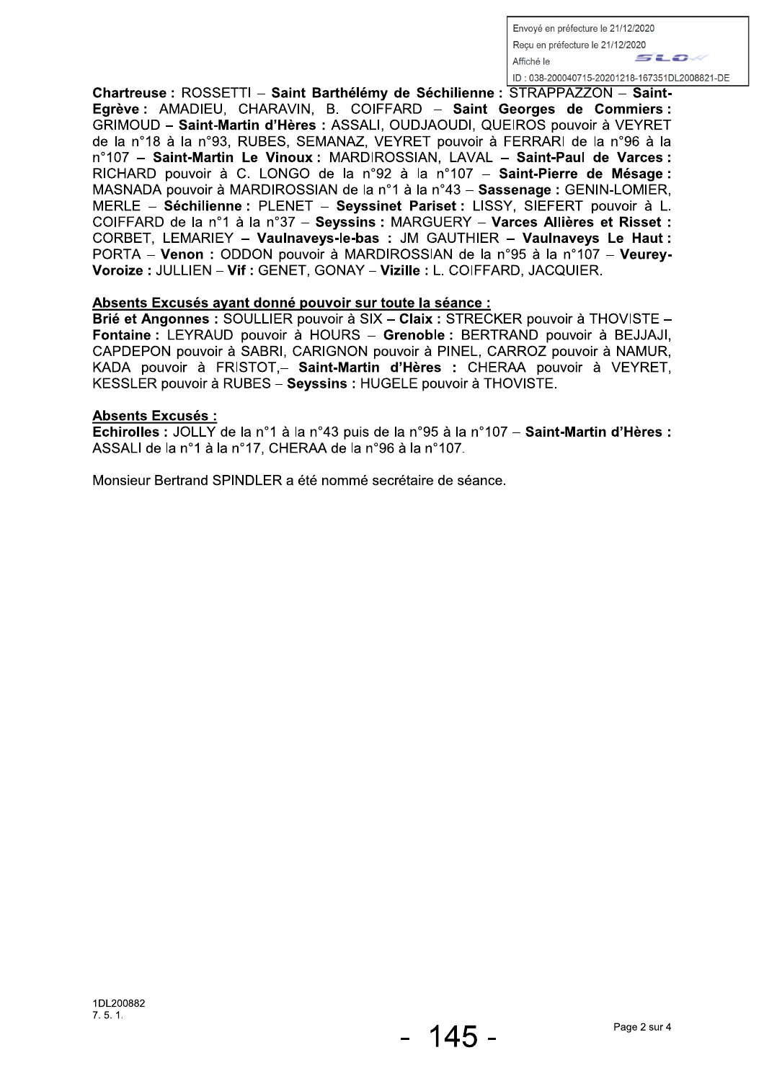Envoyé en préfecture le 21/12/2020 Recu en préfecture le 21/12/2020 *SLO* Affiché le ID: 038-200040715-20201218-167351DL2008821-DE

Chartreuse : ROSSETTI - Saint Barthélémy de Séchilienne : STRAPPAZZON - Saint-Egrève : AMADIEU, CHARAVIN, B. COIFFARD - Saint Georges de Commiers : GRIMOUD - Saint-Martin d'Hères : ASSALI, OUDJAOUDI, QUEIROS pouvoir à VEYRET de la n°18 à la n°93, RUBES, SEMANAZ, VEYRET pouvoir à FERRARI de la n°96 à la n°107 - Saint-Martin Le Vinoux : MARDIROSSIAN, LAVAL - Saint-Paul de Varces : RICHARD pouvoir à C. LONGO de la n°92 à la n°107 - Saint-Pierre de Mésage : MASNADA pouvoir à MARDIROSSIAN de la n°1 à la n°43 - Sassenage : GENIN-LOMIER, MERLE - Séchilienne : PLENET - Seyssinet Pariset : LISSY, SIEFERT pouvoir à L. COIFFARD de la n°1 à la n°37 - Seyssins : MARGUERY - Varces Allières et Risset : CORBET, LEMARIEY - Vaulnaveys-le-bas : JM GAUTHIER - Vaulnaveys Le Haut : PORTA - Venon : ODDON pouvoir à MARDIROSSIAN de la n°95 à la n°107 - Veurey-Voroize : JULLIEN - Vif : GENET, GONAY - Vizille : L. COIFFARD, JACQUIER.

### Absents Excusés avant donné pouvoir sur toute la séance :

Brié et Angonnes : SOULLIER pouvoir à SIX - Claix : STRECKER pouvoir à THOVISTE -Fontaine : LEYRAUD pouvoir à HOURS - Grenoble : BERTRAND pouvoir à BEJJAJI. CAPDEPON pouvoir à SABRI, CARIGNON pouvoir à PINEL, CARROZ pouvoir à NAMUR, KADA pouvoir à FRISTOT,- Saint-Martin d'Hères : CHERAA pouvoir à VEYRET. KESSLER pouvoir à RUBES - Seyssins : HUGELE pouvoir à THOVISTE.

## **Absents Excusés:**

Echirolles : JOLLY de la n°1 à la n°43 puis de la n°95 à la n°107 – Saint-Martin d'Hères : ASSALI de la n°1 à la n°17, CHERAA de la n°96 à la n°107.

Monsieur Bertrand SPINDLER a été nommé secrétaire de séance.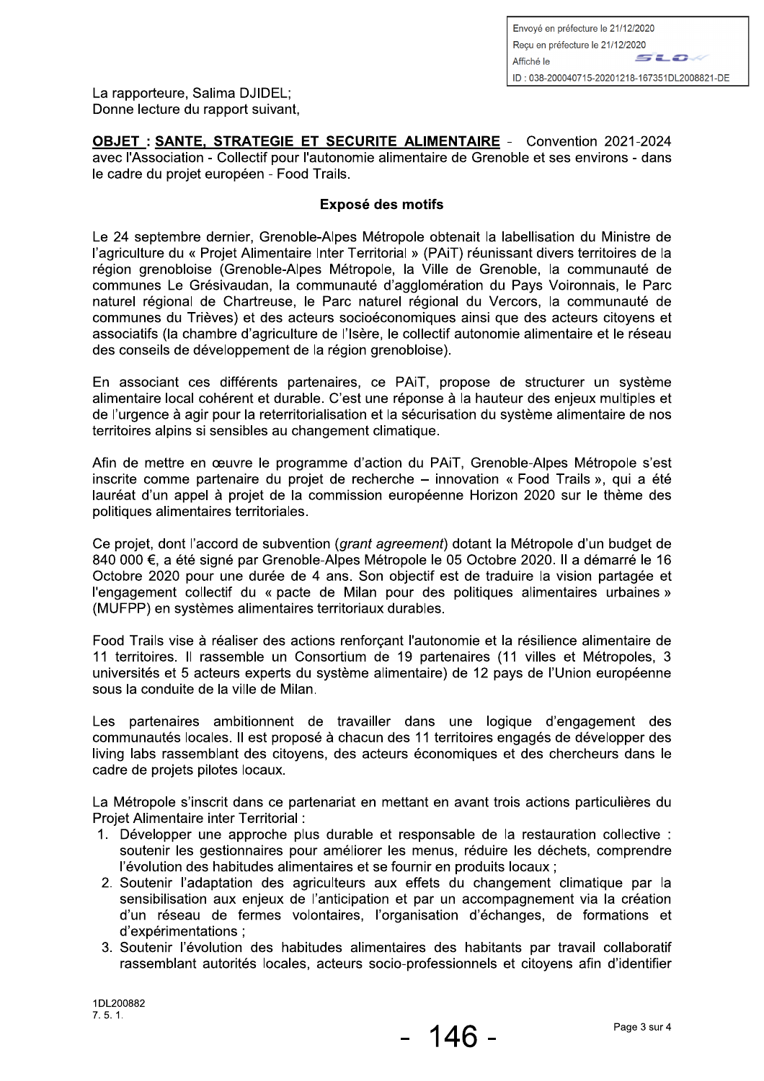La rapporteure. Salima DJIDEL: Donne lecture du rapport suivant.

**OBJET: SANTE, STRATEGIE ET SECURITE ALIMENTAIRE - Convention 2021-2024** avec l'Association - Collectif pour l'autonomie alimentaire de Grenoble et ses environs - dans le cadre du projet européen - Food Trails.

## Exposé des motifs

Le 24 septembre dernier, Grenoble-Alpes Métropole obtenait la labellisation du Ministre de l'agriculture du « Projet Alimentaire Inter Territorial » (PAiT) réunissant divers territoires de la région grenobloise (Grenoble-Alpes Métropole, la Ville de Grenoble, la communauté de communes Le Grésivaudan, la communauté d'agglomération du Pays Voironnais, le Parc naturel régional de Chartreuse, le Parc naturel régional du Vercors, la communauté de communes du Trièves) et des acteurs socioéconomiques ainsi que des acteurs citovens et associatifs (la chambre d'agriculture de l'Isère, le collectif autonomie alimentaire et le réseau des conseils de développement de la région grenobloise).

En associant ces différents partenaires, ce PAiT, propose de structurer un système alimentaire local cohérent et durable. C'est une réponse à la hauteur des enjeux multiples et de l'urgence à agir pour la reterritorialisation et la sécurisation du système alimentaire de nos territoires alpins si sensibles au changement climatique.

Afin de mettre en œuvre le programme d'action du PAIT, Grenoble-Alpes Métropole s'est inscrite comme partenaire du proiet de recherche – innovation « Food Trails », qui a été lauréat d'un appel à projet de la commission européenne Horizon 2020 sur le thème des politiques alimentaires territoriales.

Ce projet, dont l'accord de subvention (grant agreement) dotant la Métropole d'un budget de 840 000 €, a été signé par Grenoble-Alpes Métropole le 05 Octobre 2020. Il a démarré le 16 Octobre 2020 pour une durée de 4 ans. Son objectif est de traduire la vision partagée et l'engagement collectif du « pacte de Milan pour des politiques alimentaires urbaines » (MUFPP) en systèmes alimentaires territoriaux durables.

Food Trails vise à réaliser des actions renforcant l'autonomie et la résilience alimentaire de 11 territoires. Il rassemble un Consortium de 19 partenaires (11 villes et Métropoles, 3 universités et 5 acteurs experts du système alimentaire) de 12 pays de l'Union européenne sous la conduite de la ville de Milan.

Les partenaires ambitionnent de travailler dans une logique d'engagement des communautés locales. Il est proposé à chacun des 11 territoires engagés de développer des living labs rassemblant des citoyens, des acteurs économiques et des chercheurs dans le cadre de projets pilotes locaux.

La Métropole s'inscrit dans ce partenariat en mettant en avant trois actions particulières du Projet Alimentaire inter Territorial :

- 1. Développer une approche plus durable et responsable de la restauration collective : soutenir les gestionnaires pour améliorer les menus, réduire les déchets, comprendre l'évolution des habitudes alimentaires et se fournir en produits locaux :
- 2. Soutenir l'adaptation des agriculteurs aux effets du changement climatique par la sensibilisation aux enjeux de l'anticipation et par un accompagnement via la création d'un réseau de fermes volontaires, l'organisation d'échanges, de formations et d'expérimentations :
- 3. Soutenir l'évolution des habitudes alimentaires des habitants par travail collaboratif rassemblant autorités locales, acteurs socio-professionnels et citoyens afin d'identifier

1DL200882  $7.5.1$